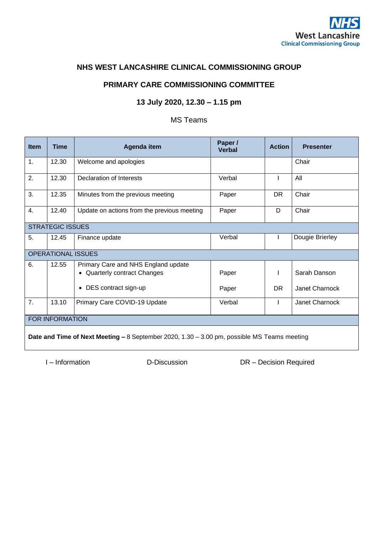

## **NHS WEST LANCASHIRE CLINICAL COMMISSIONING GROUP**

### **PRIMARY CARE COMMISSIONING COMMITTEE**

## **13 July 2020, 12.30 – 1.15 pm**

## MS Teams

| Item                                                                                        | Time  | Agenda item                                                         | Paper /<br><b>Verbal</b> | <b>Action</b> | <b>Presenter</b> |
|---------------------------------------------------------------------------------------------|-------|---------------------------------------------------------------------|--------------------------|---------------|------------------|
| 1.                                                                                          | 12.30 | Welcome and apologies                                               |                          |               | Chair            |
| 2.                                                                                          | 12.30 | Declaration of Interests                                            | Verbal                   |               | All              |
| 3.                                                                                          | 12.35 | Minutes from the previous meeting                                   | Paper                    | <b>DR</b>     | Chair            |
| 4.                                                                                          | 12.40 | Update on actions from the previous meeting                         | Paper                    | D             | Chair            |
| <b>STRATEGIC ISSUES</b>                                                                     |       |                                                                     |                          |               |                  |
| 5.                                                                                          | 12.45 | Finance update                                                      | Verbal                   |               | Dougie Brierley  |
| <b>OPERATIONAL ISSUES</b>                                                                   |       |                                                                     |                          |               |                  |
| 6.                                                                                          | 12.55 | Primary Care and NHS England update<br>• Quarterly contract Changes | Paper                    |               | Sarah Danson     |
|                                                                                             |       | DES contract sign-up<br>$\bullet$                                   | Paper                    | DR.           | Janet Charnock   |
| 7.                                                                                          | 13.10 | Primary Care COVID-19 Update                                        | Verbal                   |               | Janet Charnock   |
| <b>FOR INFORMATION</b>                                                                      |       |                                                                     |                          |               |                  |
| Date and Time of Next Meeting - 8 September 2020, 1.30 - 3.00 pm, possible MS Teams meeting |       |                                                                     |                          |               |                  |

I – Information D-Discussion DR – Decision Required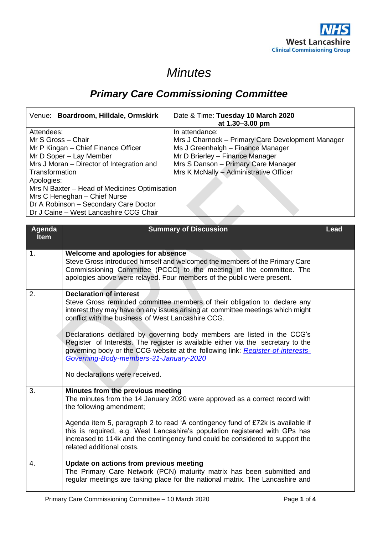# *Minutes*

## *Primary Care Commissioning Committee*

| Venue: Boardroom, Hilldale, Ormskirk          | Date & Time: Tuesday 10 March 2020<br>at 1.30–3.00 pm |  |  |
|-----------------------------------------------|-------------------------------------------------------|--|--|
| Attendees:                                    | In attendance:                                        |  |  |
| Mr S Gross - Chair                            | Mrs J Charnock - Primary Care Development Manager     |  |  |
| Mr P Kingan – Chief Finance Officer           | Ms J Greenhalgh - Finance Manager                     |  |  |
| Mr D Soper - Lay Member                       | Mr D Brierley - Finance Manager                       |  |  |
| Mrs J Moran - Director of Integration and     | Mrs S Danson - Primary Care Manager                   |  |  |
| Transformation                                | Mrs K McNally - Administrative Officer                |  |  |
| Apologies:                                    |                                                       |  |  |
| Mrs N Baxter - Head of Medicines Optimisation |                                                       |  |  |
| Mrs C Heneghan - Chief Nurse                  |                                                       |  |  |
| Dr A Robinson - Secondary Care Doctor         |                                                       |  |  |
| Dr J Caine – West Lancashire CCG Chair        |                                                       |  |  |

Dr J Caine – West Lancashire CCG Chair

| Agenda<br><b>Item</b> | <b>Summary of Discussion</b>                                                                                                                                                                                                                                                                                                                                                                                                                                                                                                                    | Lead |
|-----------------------|-------------------------------------------------------------------------------------------------------------------------------------------------------------------------------------------------------------------------------------------------------------------------------------------------------------------------------------------------------------------------------------------------------------------------------------------------------------------------------------------------------------------------------------------------|------|
| 1.                    | Welcome and apologies for absence<br>Steve Gross introduced himself and welcomed the members of the Primary Care<br>Commissioning Committee (PCCC) to the meeting of the committee. The<br>apologies above were relayed. Four members of the public were present.                                                                                                                                                                                                                                                                               |      |
| 2.                    | <b>Declaration of interest</b><br>Steve Gross reminded committee members of their obligation to declare any<br>interest they may have on any issues arising at committee meetings which might<br>conflict with the business of West Lancashire CCG.<br>Declarations declared by governing body members are listed in the CCG's<br>Register of Interests. The register is available either via the secretary to the<br>governing body or the CCG website at the following link: Register-of-interests-<br>Governing-Body-members-31-January-2020 |      |
|                       | No declarations were received.                                                                                                                                                                                                                                                                                                                                                                                                                                                                                                                  |      |
| 3.                    | Minutes from the previous meeting<br>The minutes from the 14 January 2020 were approved as a correct record with<br>the following amendment;<br>Agenda item 5, paragraph 2 to read 'A contingency fund of £72k is available if<br>this is required, e.g. West Lancashire's population registered with GPs has<br>increased to 114k and the contingency fund could be considered to support the<br>related additional costs.                                                                                                                     |      |
| 4.                    | Update on actions from previous meeting<br>The Primary Care Network (PCN) maturity matrix has been submitted and<br>regular meetings are taking place for the national matrix. The Lancashire and                                                                                                                                                                                                                                                                                                                                               |      |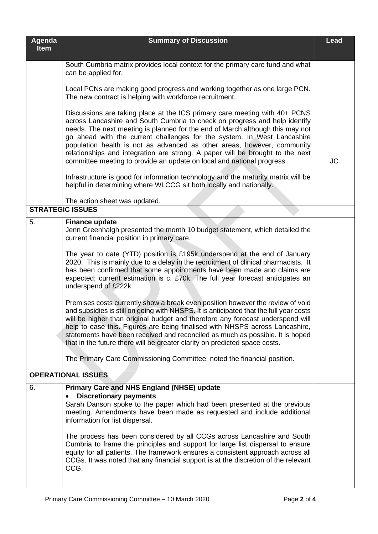| Agenda<br><b>Item</b>     | <b>Summary of Discussion</b>                                                                                                                                                                                                                                                                                                                                                                                                                                                                                                                                                                                                           | <b>Lead</b> |  |  |
|---------------------------|----------------------------------------------------------------------------------------------------------------------------------------------------------------------------------------------------------------------------------------------------------------------------------------------------------------------------------------------------------------------------------------------------------------------------------------------------------------------------------------------------------------------------------------------------------------------------------------------------------------------------------------|-------------|--|--|
|                           | South Cumbria matrix provides local context for the primary care fund and what<br>can be applied for.                                                                                                                                                                                                                                                                                                                                                                                                                                                                                                                                  |             |  |  |
|                           | Local PCNs are making good progress and working together as one large PCN.<br>The new contract is helping with workforce recruitment.                                                                                                                                                                                                                                                                                                                                                                                                                                                                                                  |             |  |  |
|                           | Discussions are taking place at the ICS primary care meeting with 40+ PCNS<br>across Lancashire and South Cumbria to check on progress and help identify<br>needs. The next meeting is planned for the end of March although this may not<br>go ahead with the current challenges for the system. In West Lancashire<br>population health is not as advanced as other areas, however, community<br>relationships and integration are strong. A paper will be brought to the next<br>committee meeting to provide an update on local and national progress.                                                                             | <b>JC</b>   |  |  |
|                           | Infrastructure is good for information technology and the maturity matrix will be<br>helpful in determining where WLCCG sit both locally and nationally.                                                                                                                                                                                                                                                                                                                                                                                                                                                                               |             |  |  |
|                           | The action sheet was updated.                                                                                                                                                                                                                                                                                                                                                                                                                                                                                                                                                                                                          |             |  |  |
|                           | <b>STRATEGIC ISSUES</b>                                                                                                                                                                                                                                                                                                                                                                                                                                                                                                                                                                                                                |             |  |  |
| 5.                        | <b>Finance update</b><br>Jenn Greenhalgh presented the month 10 budget statement, which detailed the<br>current financial position in primary care.                                                                                                                                                                                                                                                                                                                                                                                                                                                                                    |             |  |  |
|                           | The year to date (YTD) position is £195k underspend at the end of January<br>2020. This is mainly due to a delay in the recruitment of clinical pharmacists. It<br>has been confirmed that some appointments have been made and claims are<br>expected; current estimation is c. £70k. The full year forecast anticipates an<br>underspend of £222k.                                                                                                                                                                                                                                                                                   |             |  |  |
|                           | Premises costs currently show a break even position however the review of void<br>and subsidies is still on going with NHSPS. It is anticipated that the full year costs<br>will be higher than original budget and therefore any forecast underspend will<br>help to ease this. Figures are being finalised with NHSPS across Lancashire,<br>statements have been received and reconciled as much as possible. It is hoped<br>that in the future there will be greater clarity on predicted space costs.                                                                                                                              |             |  |  |
|                           | The Primary Care Commissioning Committee: noted the financial position.                                                                                                                                                                                                                                                                                                                                                                                                                                                                                                                                                                |             |  |  |
| <b>OPERATIONAL ISSUES</b> |                                                                                                                                                                                                                                                                                                                                                                                                                                                                                                                                                                                                                                        |             |  |  |
| 6.                        | <b>Primary Care and NHS England (NHSE) update</b><br><b>Discretionary payments</b><br>$\bullet$<br>Sarah Danson spoke to the paper which had been presented at the previous<br>meeting. Amendments have been made as requested and include additional<br>information for list dispersal.<br>The process has been considered by all CCGs across Lancashire and South<br>Cumbria to frame the principles and support for large list dispersal to ensure<br>equity for all patients. The framework ensures a consistent approach across all<br>CCGs. It was noted that any financial support is at the discretion of the relevant<br>CCG. |             |  |  |
|                           |                                                                                                                                                                                                                                                                                                                                                                                                                                                                                                                                                                                                                                        |             |  |  |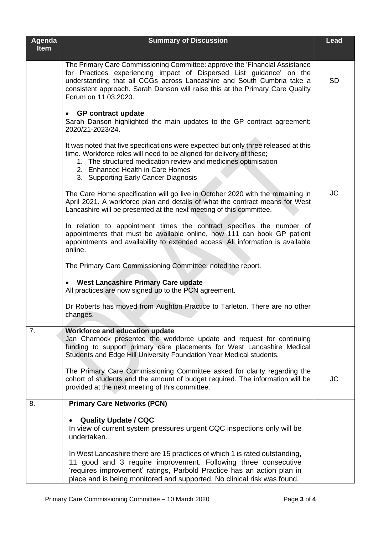| Agenda<br><b>Item</b> | <b>Summary of Discussion</b>                                                                                                                                                                                                                                                                                                           | <b>Lead</b> |
|-----------------------|----------------------------------------------------------------------------------------------------------------------------------------------------------------------------------------------------------------------------------------------------------------------------------------------------------------------------------------|-------------|
|                       | The Primary Care Commissioning Committee: approve the 'Financial Assistance<br>for Practices experiencing impact of Dispersed List guidance' on the<br>understanding that all CCGs across Lancashire and South Cumbria take a<br>consistent approach. Sarah Danson will raise this at the Primary Care Quality<br>Forum on 11.03.2020. | <b>SD</b>   |
|                       | <b>GP</b> contract update<br>$\bullet$<br>Sarah Danson highlighted the main updates to the GP contract agreement:<br>2020/21-2023/24.                                                                                                                                                                                                  |             |
|                       | It was noted that five specifications were expected but only three released at this<br>time. Workforce roles will need to be aligned for delivery of these;<br>1. The structured medication review and medicines optimisation<br>2. Enhanced Health in Care Homes<br>3. Supporting Early Cancer Diagnosis                              |             |
|                       | The Care Home specification will go live in October 2020 with the remaining in<br>April 2021. A workforce plan and details of what the contract means for West<br>Lancashire will be presented at the next meeting of this committee.                                                                                                  | <b>JC</b>   |
|                       | In relation to appointment times the contract specifies the number of<br>appointments that must be available online, how 111 can book GP patient<br>appointments and availability to extended access. All information is available<br>online.                                                                                          |             |
|                       | The Primary Care Commissioning Committee: noted the report.                                                                                                                                                                                                                                                                            |             |
|                       | <b>West Lancashire Primary Care update</b><br>All practices are now signed up to the PCN agreement.                                                                                                                                                                                                                                    |             |
|                       | Dr Roberts has moved from Aughton Practice to Tarleton. There are no other<br>changes.                                                                                                                                                                                                                                                 |             |
| 7.                    | <b>Workforce and education update</b><br>Jan Charnock presented the workforce update and request for continuing<br>funding to support primary care placements for West Lancashire Medical<br>Students and Edge Hill University Foundation Year Medical students.                                                                       |             |
|                       | The Primary Care Commissioning Committee asked for clarity regarding the<br>cohort of students and the amount of budget required. The information will be<br>provided at the next meeting of this committee.                                                                                                                           | JC          |
| 8.                    | <b>Primary Care Networks (PCN)</b>                                                                                                                                                                                                                                                                                                     |             |
|                       | <b>Quality Update / CQC</b><br>In view of current system pressures urgent CQC inspections only will be<br>undertaken.                                                                                                                                                                                                                  |             |
|                       | In West Lancashire there are 15 practices of which 1 is rated outstanding,<br>11 good and 3 require improvement. Following three consecutive<br>'requires improvement' ratings, Parbold Practice has an action plan in<br>place and is being monitored and supported. No clinical risk was found.                                      |             |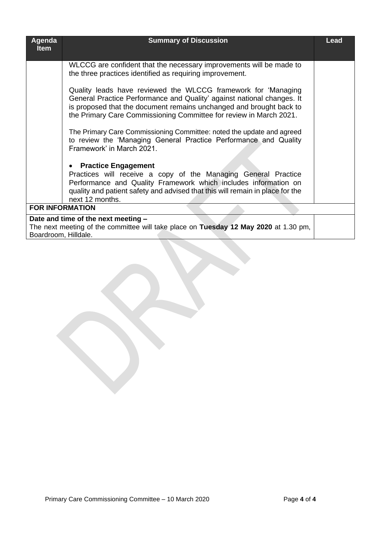| Agenda<br><b>Item</b> | <b>Summary of Discussion</b>                                                                                                                                                                                                                                                         | <b>Lead</b> |
|-----------------------|--------------------------------------------------------------------------------------------------------------------------------------------------------------------------------------------------------------------------------------------------------------------------------------|-------------|
|                       | WLCCG are confident that the necessary improvements will be made to<br>the three practices identified as requiring improvement.                                                                                                                                                      |             |
|                       | Quality leads have reviewed the WLCCG framework for 'Managing<br>General Practice Performance and Quality' against national changes. It<br>is proposed that the document remains unchanged and brought back to<br>the Primary Care Commissioning Committee for review in March 2021. |             |
|                       | The Primary Care Commissioning Committee: noted the update and agreed<br>to review the 'Managing General Practice Performance and Quality<br>Framework' in March 2021.                                                                                                               |             |
|                       | <b>Practice Engagement</b><br>$\bullet$                                                                                                                                                                                                                                              |             |
|                       | Practices will receive a copy of the Managing General Practice<br>Performance and Quality Framework which includes information on<br>quality and patient safety and advised that this will remain in place for the<br>next 12 months.                                                |             |
|                       | <b>FOR INFORMATION</b>                                                                                                                                                                                                                                                               |             |
|                       | Date and time of the next meeting -                                                                                                                                                                                                                                                  |             |
| Boardroom, Hilldale.  | The next meeting of the committee will take place on Tuesday 12 May 2020 at 1.30 pm,                                                                                                                                                                                                 |             |
|                       |                                                                                                                                                                                                                                                                                      |             |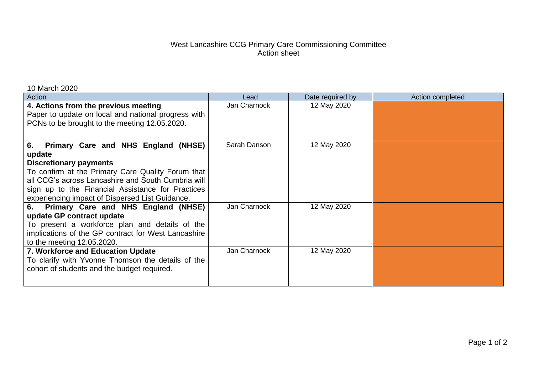## West Lancashire CCG Primary Care Commissioning Committee Action sheet

| Action                                                                                                                                                                                                                                                                                                  | Lead         | Date required by | Action completed |
|---------------------------------------------------------------------------------------------------------------------------------------------------------------------------------------------------------------------------------------------------------------------------------------------------------|--------------|------------------|------------------|
| 4. Actions from the previous meeting<br>Paper to update on local and national progress with<br>PCNs to be brought to the meeting 12.05.2020.                                                                                                                                                            | Jan Charnock | 12 May 2020      |                  |
| Primary Care and NHS England (NHSE)<br>6.<br>update<br><b>Discretionary payments</b><br>To confirm at the Primary Care Quality Forum that<br>all CCG's across Lancashire and South Cumbria will<br>sign up to the Financial Assistance for Practices<br>experiencing impact of Dispersed List Guidance. | Sarah Danson | 12 May 2020      |                  |
| Primary Care and NHS England (NHSE)<br>6.<br>update GP contract update<br>To present a workforce plan and details of the<br>implications of the GP contract for West Lancashire<br>to the meeting 12.05.2020.                                                                                           | Jan Charnock | 12 May 2020      |                  |
| 7. Workforce and Education Update<br>To clarify with Yvonne Thomson the details of the<br>cohort of students and the budget required.                                                                                                                                                                   | Jan Charnock | 12 May 2020      |                  |

10 March 2020

Page 1 of 2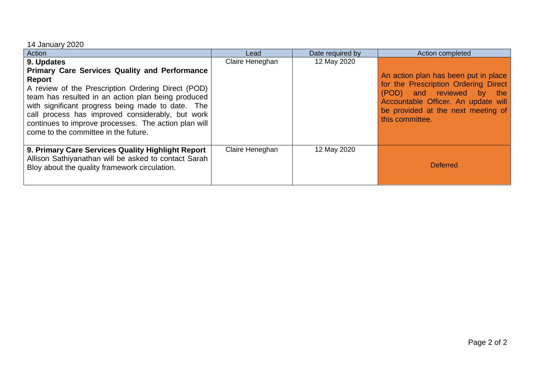## 14 January 2020

| Action                                                                                                                                                                                                                                                                                                                                                                                            | Lead            | Date required by | Action completed                                                                                                                                                                                          |
|---------------------------------------------------------------------------------------------------------------------------------------------------------------------------------------------------------------------------------------------------------------------------------------------------------------------------------------------------------------------------------------------------|-----------------|------------------|-----------------------------------------------------------------------------------------------------------------------------------------------------------------------------------------------------------|
| 9. Updates<br><b>Primary Care Services Quality and Performance</b><br>Report<br>A review of the Prescription Ordering Direct (POD)<br>team has resulted in an action plan being produced<br>with significant progress being made to date. The<br>call process has improved considerably, but work<br>continues to improve processes. The action plan will<br>come to the committee in the future. | Claire Heneghan | 12 May 2020      | An action plan has been put in place<br>for the Prescription Ordering Direct<br>(POD) and reviewed by the<br>Accountable Officer. An update will<br>be provided at the next meeting of<br>this committee. |
| 9. Primary Care Services Quality Highlight Report<br>Allison Sathiyanathan will be asked to contact Sarah<br>Bloy about the quality framework circulation.                                                                                                                                                                                                                                        | Claire Heneghan | 12 May 2020      | <b>Deferred</b>                                                                                                                                                                                           |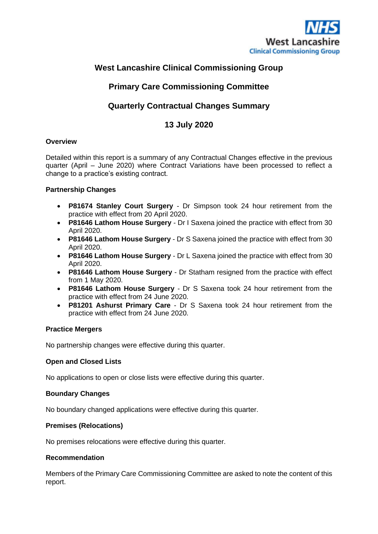

## **West Lancashire Clinical Commissioning Group**

## **Primary Care Commissioning Committee**

## **Quarterly Contractual Changes Summary**

## **13 July 2020**

#### **Overview**

Detailed within this report is a summary of any Contractual Changes effective in the previous quarter (April – June 2020) where Contract Variations have been processed to reflect a change to a practice's existing contract.

#### **Partnership Changes**

- **P81674 Stanley Court Surgery** Dr Simpson took 24 hour retirement from the practice with effect from 20 April 2020.
- **P81646 Lathom House Surgery** Dr I Saxena joined the practice with effect from 30 April 2020.
- **P81646 Lathom House Surgery** Dr S Saxena joined the practice with effect from 30 April 2020.
- **P81646 Lathom House Surgery** Dr L Saxena joined the practice with effect from 30 April 2020.
- **P81646 Lathom House Surgery** Dr Statham resigned from the practice with effect from 1 May 2020.
- **P81646 Lathom House Surgery** Dr S Saxena took 24 hour retirement from the practice with effect from 24 June 2020.
- **P81201 Ashurst Primary Care** Dr S Saxena took 24 hour retirement from the practice with effect from 24 June 2020.

#### **Practice Mergers**

No partnership changes were effective during this quarter.

#### **Open and Closed Lists**

No applications to open or close lists were effective during this quarter.

#### **Boundary Changes**

No boundary changed applications were effective during this quarter.

#### **Premises (Relocations)**

No premises relocations were effective during this quarter.

#### **Recommendation**

Members of the Primary Care Commissioning Committee are asked to note the content of this report.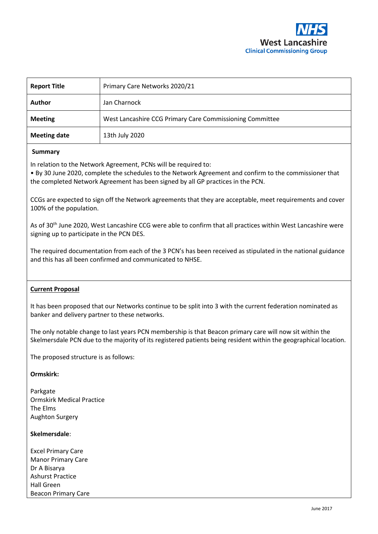

| <b>Report Title</b> | Primary Care Networks 2020/21                            |
|---------------------|----------------------------------------------------------|
| <b>Author</b>       | Jan Charnock                                             |
| <b>Meeting</b>      | West Lancashire CCG Primary Care Commissioning Committee |
| <b>Meeting date</b> | 13th July 2020                                           |

#### **Summary**

In relation to the Network Agreement, PCNs will be required to:

• By 30 June 2020, complete the schedules to the Network Agreement and confirm to the commissioner that the completed Network Agreement has been signed by all GP practices in the PCN.

CCGs are expected to sign off the Network agreements that they are acceptable, meet requirements and cover 100% of the population.

As of 30<sup>th</sup> June 2020, West Lancashire CCG were able to confirm that all practices within West Lancashire were signing up to participate in the PCN DES.

The required documentation from each of the 3 PCN's has been received as stipulated in the national guidance and this has all been confirmed and communicated to NHSE.

#### **Current Proposal**

It has been proposed that our Networks continue to be split into 3 with the current federation nominated as banker and delivery partner to these networks.

The only notable change to last years PCN membership is that Beacon primary care will now sit within the Skelmersdale PCN due to the majority of its registered patients being resident within the geographical location.

The proposed structure is as follows:

#### **Ormskirk:**

Parkgate Ormskirk Medical Practice The Elms Aughton Surgery

#### **Skelmersdale**:

Excel Primary Care Manor Primary Care Dr A Bisarya Ashurst Practice Hall Green Beacon Primary Care